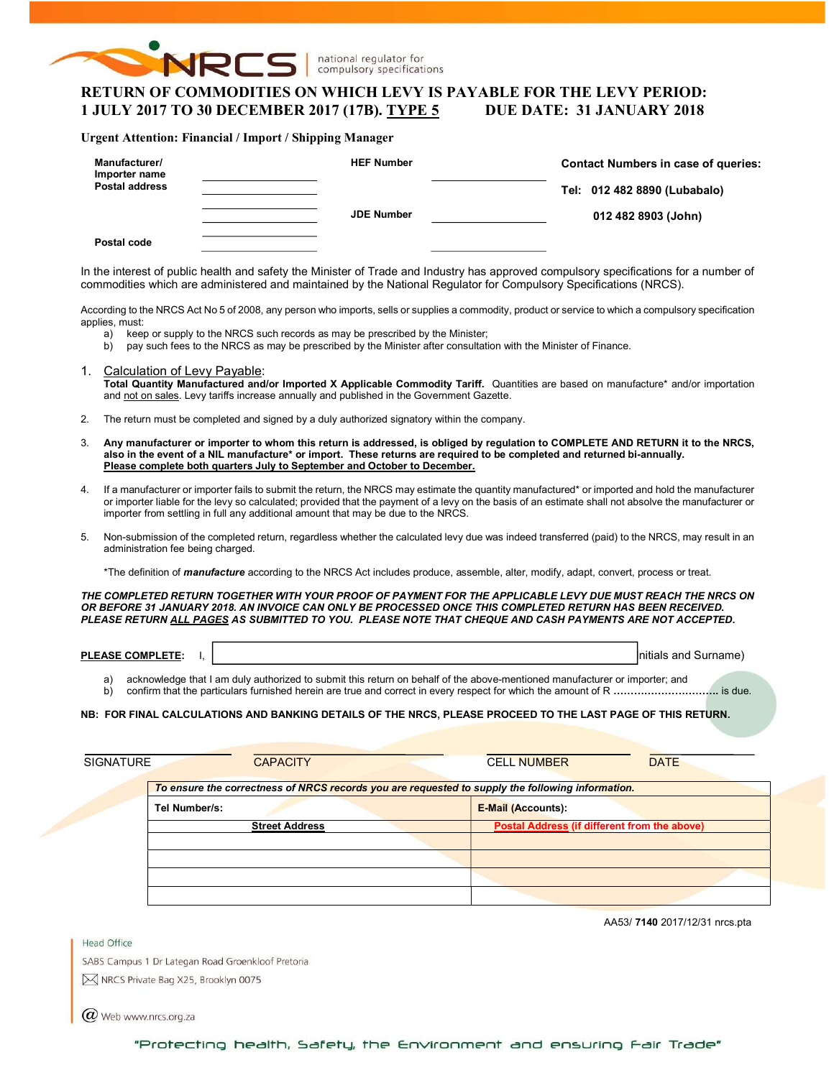

national regulator for compulsory specifications

# RETURN OF COMMODITIES ON WHICH LEVY IS PAYABLE FOR THE LEVY PERIOD: 1 JULY 2017 TO 30 DECEMBER 2017 (17B). TYPE 5 DUE DATE: 31 JANUARY 2018

#### Urgent Attention: Financial / Import / Shipping Manager

| Manufacturer/<br>Importer name<br><b>Postal address</b> | <b>HEF Number</b> | <b>Contact Numbers in case of queries:</b><br>Tel: 012 482 8890 (Lubabalo) |
|---------------------------------------------------------|-------------------|----------------------------------------------------------------------------|
| Postal code                                             | <b>JDE Number</b> | 012 482 8903 (John)                                                        |

In the interest of public health and safety the Minister of Trade and Industry has approved compulsory specifications for a number of commodities which are administered and maintained by the National Regulator for Compulsory Specifications (NRCS).

According to the NRCS Act No 5 of 2008, any person who imports, sells or supplies a commodity, product or service to which a compulsory specification applies, must:

- a) keep or supply to the NRCS such records as may be prescribed by the Minister;
- b) pay such fees to the NRCS as may be prescribed by the Minister after consultation with the Minister of Finance.
- 1. Calculation of Levy Payable: Total Quantity Manufactured and/or Imported X Applicable Commodity Tariff. Quantities are based on manufacture\* and/or importation and not on sales. Levy tariffs increase annually and published in the Government Gazette.
- 2. The return must be completed and signed by a duly authorized signatory within the company.
- 3. Any manufacturer or importer to whom this return is addressed, is obliged by regulation to COMPLETE AND RETURN it to the NRCS, also in the event of a NIL manufacture\* or import. These returns are required to be completed and returned bi-annually. Please complete both quarters July to September and October to December.
- 4. If a manufacturer or importer fails to submit the return, the NRCS may estimate the quantity manufactured\* or imported and hold the manufacturer or importer liable for the levy so calculated; provided that the payment of a levy on the basis of an estimate shall not absolve the manufacturer or importer from settling in full any additional amount that may be due to the NRCS.
- 5. Non-submission of the completed return, regardless whether the calculated levy due was indeed transferred (paid) to the NRCS, may result in an administration fee being charged.

\*The definition of *manufacture* according to the NRCS Act includes produce, assemble, alter, modify, adapt, convert, process or treat.

THE COMPLETED RETURN TOGETHER WITH YOUR PROOF OF PAYMENT FOR THE APPLICABLE LEVY DUE MUST REACH THE NRCS ON OR BEFORE 31 JANUARY 2018. AN INVOICE CAN ONLY BE PROCESSED ONCE THIS COMPLETED RETURN HAS BEEN RECEIVED. PLEASE RETURN ALL PAGES AS SUBMITTED TO YOU. PLEASE NOTE THAT CHEQUE AND CASH PAYMENTS ARE NOT ACCEPTED.

| <b>PLEASE COMPLETE:</b> | and<br>Surname<br>'nitials |
|-------------------------|----------------------------|
|                         |                            |

a) acknowledge that I am duly authorized to submit this return on behalf of the above-mentioned manufacturer or importer; and b) confirm that the particulars furnished herein are true and correct in every respect for which the amount of R ………………………………… is due.

### NB: FOR FINAL CALCULATIONS AND BANKING DETAILS OF THE NRCS, PLEASE PROCEED TO THE LAST PAGE OF THIS RETURN.

| <b>SIGNATURE</b> | <b>CAPACITY</b>                                                                                  | <b>CELL NUMBER</b>                           | <b>DATE</b> |
|------------------|--------------------------------------------------------------------------------------------------|----------------------------------------------|-------------|
|                  | To ensure the correctness of NRCS records you are requested to supply the following information. |                                              |             |
|                  | Tel Number/s:                                                                                    | <b>E-Mail (Accounts):</b>                    |             |
|                  | <b>Street Address</b>                                                                            | Postal Address (if different from the above) |             |
|                  |                                                                                                  |                                              |             |
|                  |                                                                                                  |                                              |             |
|                  |                                                                                                  |                                              |             |
|                  |                                                                                                  |                                              |             |

AA53/ 7140 2017/12/31 nrcs.pta

**Head Office** SABS Campus 1 Dr Lategan Road Groenkloof Pretoria M NRCS Private Bag X25, Brooklyn 0075

 $\omega$  Web www.nrcs.org.za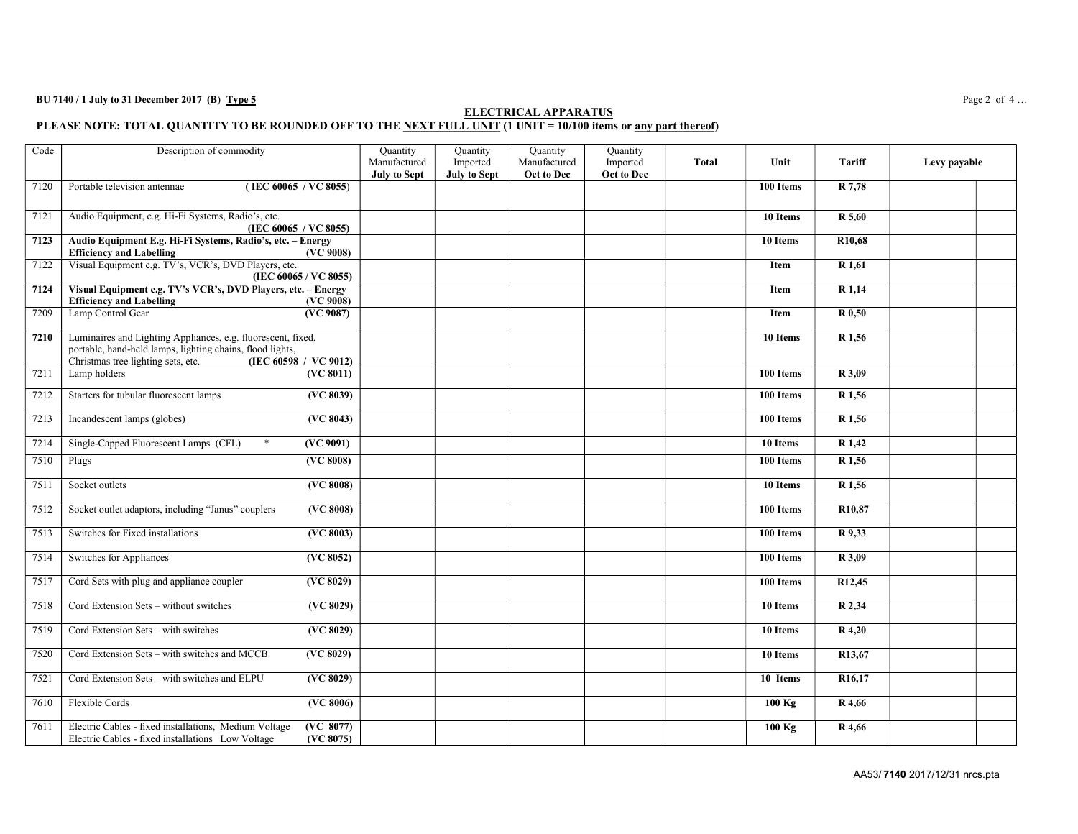### BU 7140 / 1 July to 31 December 2017 (B) Type 5 Page 2 of 4...

#### ELECTRICAL APPARATUS PLEASE NOTE: TOTAL QUANTITY TO BE ROUNDED OFF TO THE NEXT FULL UNIT (1 UNIT = 10/100 items or <u>any part thereof</u>)

| Code | Description of commodity                                                                                                                                                                 |                                | Quantity<br>Manufactured<br><b>July to Sept</b> | Quantity<br>Imported<br><b>July to Sept</b> | Quantity<br>Manufactured<br>Oct to Dec | Quantity<br>Imported<br>Oct to Dec | <b>Total</b> | Unit                  | Tariff              | Levy payable |
|------|------------------------------------------------------------------------------------------------------------------------------------------------------------------------------------------|--------------------------------|-------------------------------------------------|---------------------------------------------|----------------------------------------|------------------------------------|--------------|-----------------------|---------------------|--------------|
| 7120 | Portable television antennae<br>(IEC 60065 / VC 8055)                                                                                                                                    |                                |                                                 |                                             |                                        |                                    |              | 100 Items             | R 7,78              |              |
| 7121 | Audio Equipment, e.g. Hi-Fi Systems, Radio's, etc.<br>(IEC 60065 / VC 8055)                                                                                                              |                                |                                                 |                                             |                                        |                                    |              | 10 Items              | $\overline{R}$ 5,60 |              |
| 7123 | Audio Equipment E.g. Hi-Fi Systems, Radio's, etc. - Energy<br><b>Efficiency and Labelling</b>                                                                                            | (VC 9008)                      |                                                 |                                             |                                        |                                    |              | $\overline{10}$ Items | R <sub>10</sub> ,68 |              |
| 7122 | Visual Equipment e.g. TV's, VCR's, DVD Players, etc.<br>(IEC 60065 / VC 8055)                                                                                                            |                                |                                                 |                                             |                                        |                                    |              | <b>Item</b>           | R 1,61              |              |
| 7124 | Visual Equipment e.g. TV's VCR's, DVD Players, etc. - Energy<br><b>Efficiency and Labelling</b>                                                                                          | (VC 9008)                      |                                                 |                                             |                                        |                                    |              | Item                  | $\overline{R1,14}$  |              |
| 7209 | Lamp Control Gear                                                                                                                                                                        | (VC 9087)                      |                                                 |                                             |                                        |                                    |              | Item                  | $\overline{R}$ 0,50 |              |
| 7210 | Luminaires and Lighting Appliances, e.g. fluorescent, fixed,<br>portable, hand-held lamps, lighting chains, flood lights,<br>Christmas tree lighting sets, etc.<br>(IEC 60598 / VC 9012) |                                |                                                 |                                             |                                        |                                    |              | 10 Items              | R 1,56              |              |
| 7211 | Lamp holders                                                                                                                                                                             | (VC 8011)                      |                                                 |                                             |                                        |                                    |              | 100 Items             | R 3,09              |              |
| 7212 | Starters for tubular fluorescent lamps                                                                                                                                                   | (VC 8039)                      |                                                 |                                             |                                        |                                    |              | 100 Items             | R 1,56              |              |
| 7213 | Incandescent lamps (globes)                                                                                                                                                              | (VC 8043)                      |                                                 |                                             |                                        |                                    |              | 100 Items             | R 1,56              |              |
| 7214 | Single-Capped Fluorescent Lamps (CFL)<br>$\ast$                                                                                                                                          | (VC 9091)                      |                                                 |                                             |                                        |                                    |              | 10 Items              | R 1,42              |              |
| 7510 | Plugs                                                                                                                                                                                    | (VC 8008)                      |                                                 |                                             |                                        |                                    |              | 100 Items             | R 1,56              |              |
| 7511 | Socket outlets                                                                                                                                                                           | (VC 8008)                      |                                                 |                                             |                                        |                                    |              | 10 Items              | R 1,56              |              |
| 7512 | Socket outlet adaptors, including "Janus" couplers                                                                                                                                       | $\overline{\text{ (VC 8008)}}$ |                                                 |                                             |                                        |                                    |              | 100 Items             | R <sub>10</sub> ,87 |              |
| 7513 | Switches for Fixed installations                                                                                                                                                         | (VC 8003)                      |                                                 |                                             |                                        |                                    |              | 100 Items             | R 9,33              |              |
| 7514 | Switches for Appliances                                                                                                                                                                  | (VC 8052)                      |                                                 |                                             |                                        |                                    |              | 100 Items             | R 3,09              |              |
| 7517 | Cord Sets with plug and appliance coupler                                                                                                                                                | (VC 8029)                      |                                                 |                                             |                                        |                                    |              | 100 Items             | R12,45              |              |
| 7518 | Cord Extension Sets - without switches                                                                                                                                                   | (VC 8029)                      |                                                 |                                             |                                        |                                    |              | 10 Items              | R 2,34              |              |
| 7519 | Cord Extension Sets - with switches                                                                                                                                                      | (VC 8029)                      |                                                 |                                             |                                        |                                    |              | 10 Items              | R 4,20              |              |
| 7520 | Cord Extension Sets - with switches and MCCB                                                                                                                                             | (VC 8029)                      |                                                 |                                             |                                        |                                    |              | 10 Items              | R13,67              |              |
| 7521 | Cord Extension Sets - with switches and ELPU                                                                                                                                             | (VC 8029)                      |                                                 |                                             |                                        |                                    |              | 10 Items              | R <sub>16</sub> ,17 |              |
| 7610 | Flexible Cords                                                                                                                                                                           | (VC 8006)                      |                                                 |                                             |                                        |                                    |              | $100$ Kg              | R 4,66              |              |
| 7611 | Electric Cables - fixed installations, Medium Voltage<br>Electric Cables - fixed installations Low Voltage                                                                               | (VC 8077)<br>(VC 8075)         |                                                 |                                             |                                        |                                    |              | $100$ Kg              | R 4,66              |              |

AA53/ 7140 2017/12/31 nrcs.pta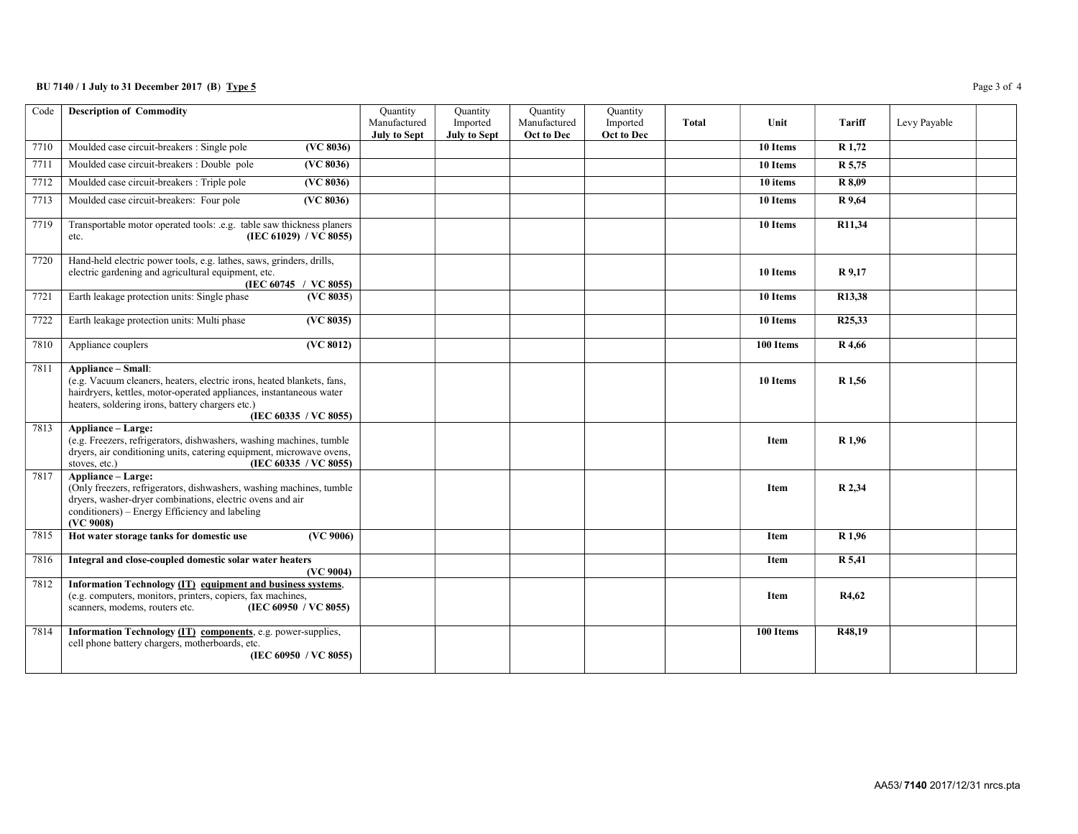### BU 7140 / 1 July to 31 December 2017 (B) Type 5 Page 3 of 4

| Code | <b>Description of Commodity</b>                                                                                                                                                                                                                  | Quantity<br>Manufactured<br><b>July to Sept</b> | Quantity<br>Imported<br><b>July to Sept</b> | Quantity<br>Manufactured<br>Oct to Dec | Quantity<br>Imported<br>Oct to Dec | Total | Unit        | Tariff              | Levy Payable |  |
|------|--------------------------------------------------------------------------------------------------------------------------------------------------------------------------------------------------------------------------------------------------|-------------------------------------------------|---------------------------------------------|----------------------------------------|------------------------------------|-------|-------------|---------------------|--------------|--|
| 7710 | Moulded case circuit-breakers : Single pole<br>(VC 8036)                                                                                                                                                                                         |                                                 |                                             |                                        |                                    |       | 10 Items    | R 1,72              |              |  |
| 7711 | Moulded case circuit-breakers : Double pole<br>(VC 8036)                                                                                                                                                                                         |                                                 |                                             |                                        |                                    |       | 10 Items    | R 5,75              |              |  |
| 7712 | Moulded case circuit-breakers : Triple pole<br>(VC 8036)                                                                                                                                                                                         |                                                 |                                             |                                        |                                    |       | 10 items    | R 8,09              |              |  |
| 7713 | Moulded case circuit-breakers: Four pole<br>(VC 8036)                                                                                                                                                                                            |                                                 |                                             |                                        |                                    |       | 10 Items    | R 9,64              |              |  |
| 7719 | Transportable motor operated tools: .e.g. table saw thickness planers<br>(IEC 61029) / VC 8055)<br>etc.                                                                                                                                          |                                                 |                                             |                                        |                                    |       | 10 Items    | R11,34              |              |  |
| 7720 | Hand-held electric power tools, e.g. lathes, saws, grinders, drills,<br>electric gardening and agricultural equipment, etc.<br>(IEC 60745 / VC 8055)                                                                                             |                                                 |                                             |                                        |                                    |       | 10 Items    | R 9,17              |              |  |
| 7721 | Earth leakage protection units: Single phase<br>(VC 8035)                                                                                                                                                                                        |                                                 |                                             |                                        |                                    |       | 10 Items    | R13,38              |              |  |
| 7722 | Earth leakage protection units: Multi phase<br>(VC 8035)                                                                                                                                                                                         |                                                 |                                             |                                        |                                    |       | 10 Items    | R <sub>25</sub> ,33 |              |  |
| 7810 | (VC 8012)<br>Appliance couplers                                                                                                                                                                                                                  |                                                 |                                             |                                        |                                    |       | 100 Items   | R 4,66              |              |  |
| 7811 | Appliance - Small:<br>(e.g. Vacuum cleaners, heaters, electric irons, heated blankets, fans,<br>hairdryers, kettles, motor-operated appliances, instantaneous water<br>heaters, soldering irons, battery chargers etc.)<br>(IEC 60335 / VC 8055) |                                                 |                                             |                                        |                                    |       | 10 Items    | R 1,56              |              |  |
| 7813 | Appliance - Large:<br>(e.g. Freezers, refrigerators, dishwashers, washing machines, tumble<br>dryers, air conditioning units, catering equipment, microwave ovens,<br>(IEC 60335 / VC 8055)<br>stoves, etc.)                                     |                                                 |                                             |                                        |                                    |       | <b>Item</b> | R 1,96              |              |  |
| 7817 | Appliance - Large:<br>(Only freezers, refrigerators, dishwashers, washing machines, tumble<br>dryers, washer-dryer combinations, electric ovens and air<br>conditioners) - Energy Efficiency and labeling<br>(VC 9008)                           |                                                 |                                             |                                        |                                    |       | <b>Item</b> | R 2,34              |              |  |
| 7815 | Hot water storage tanks for domestic use<br>(VC 9006)                                                                                                                                                                                            |                                                 |                                             |                                        |                                    |       | Item        | R <sub>1,96</sub>   |              |  |
| 7816 | Integral and close-coupled domestic solar water heaters<br>(VC 9004)                                                                                                                                                                             |                                                 |                                             |                                        |                                    |       | Item        | R 5,41              |              |  |
| 7812 | Information Technology (IT) equipment and business systems,<br>(e.g. computers, monitors, printers, copiers, fax machines,<br>scanners, modems, routers etc.<br>(IEC 60950 / VC 8055)                                                            |                                                 |                                             |                                        |                                    |       | Item        | R4,62               |              |  |
| 7814 | Information Technology (IT) components, e.g. power-supplies,<br>cell phone battery chargers, motherboards, etc.<br>(IEC 60950 / VC 8055)                                                                                                         |                                                 |                                             |                                        |                                    |       | 100 Items   | R48,19              |              |  |